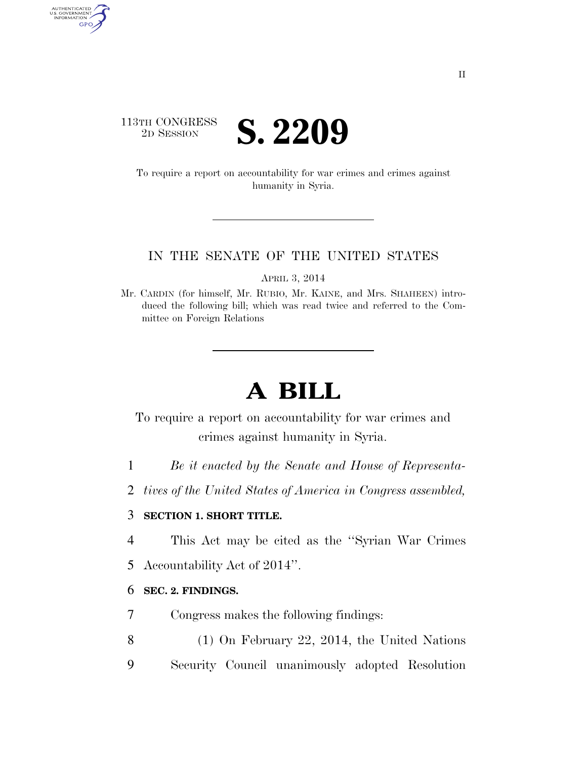### 113TH CONGRESS <sup>TH CONGRESS</sup> **S. 2209**

AUTHENTICATED<br>U.S. GOVERNMENT<br>INFORMATION GPO

> To require a report on accountability for war crimes and crimes against humanity in Syria.

#### IN THE SENATE OF THE UNITED STATES

APRIL 3, 2014

Mr. CARDIN (for himself, Mr. RUBIO, Mr. KAINE, and Mrs. SHAHEEN) introduced the following bill; which was read twice and referred to the Committee on Foreign Relations

# **A BILL**

To require a report on accountability for war crimes and crimes against humanity in Syria.

- 1 *Be it enacted by the Senate and House of Representa-*
- 2 *tives of the United States of America in Congress assembled,*

#### 3 **SECTION 1. SHORT TITLE.**

- 4 This Act may be cited as the ''Syrian War Crimes
- 5 Accountability Act of 2014''.

#### 6 **SEC. 2. FINDINGS.**

- 7 Congress makes the following findings:
- 8 (1) On February 22, 2014, the United Nations
- 9 Security Council unanimously adopted Resolution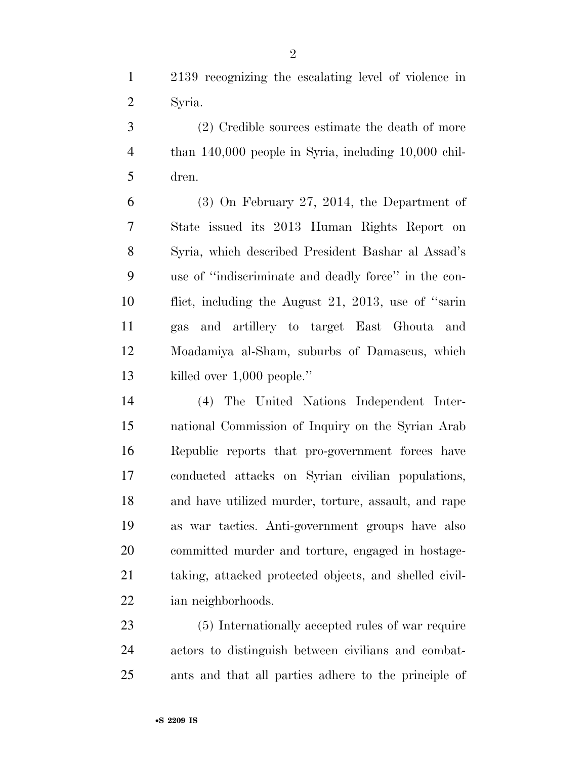2139 recognizing the escalating level of violence in Syria.

 (2) Credible sources estimate the death of more than 140,000 people in Syria, including 10,000 chil-dren.

 (3) On February 27, 2014, the Department of State issued its 2013 Human Rights Report on Syria, which described President Bashar al Assad's use of ''indiscriminate and deadly force'' in the con- flict, including the August 21, 2013, use of ''sarin gas and artillery to target East Ghouta and Moadamiya al-Sham, suburbs of Damascus, which killed over 1,000 people.''

 (4) The United Nations Independent Inter- national Commission of Inquiry on the Syrian Arab Republic reports that pro-government forces have conducted attacks on Syrian civilian populations, and have utilized murder, torture, assault, and rape as war tactics. Anti-government groups have also committed murder and torture, engaged in hostage- taking, attacked protected objects, and shelled civil-ian neighborhoods.

 (5) Internationally accepted rules of war require actors to distinguish between civilians and combat-ants and that all parties adhere to the principle of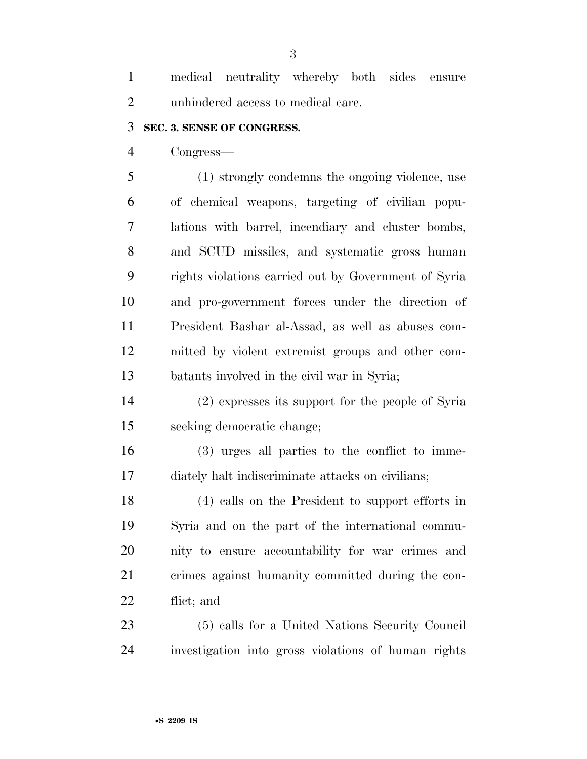medical neutrality whereby both sides ensure unhindered access to medical care.

#### **SEC. 3. SENSE OF CONGRESS.**

Congress—

 (1) strongly condemns the ongoing violence, use of chemical weapons, targeting of civilian popu- lations with barrel, incendiary and cluster bombs, and SCUD missiles, and systematic gross human rights violations carried out by Government of Syria and pro-government forces under the direction of President Bashar al-Assad, as well as abuses com- mitted by violent extremist groups and other com-batants involved in the civil war in Syria;

 (2) expresses its support for the people of Syria seeking democratic change;

 (3) urges all parties to the conflict to imme-diately halt indiscriminate attacks on civilians;

 (4) calls on the President to support efforts in Syria and on the part of the international commu- nity to ensure accountability for war crimes and crimes against humanity committed during the con-flict; and

 (5) calls for a United Nations Security Council investigation into gross violations of human rights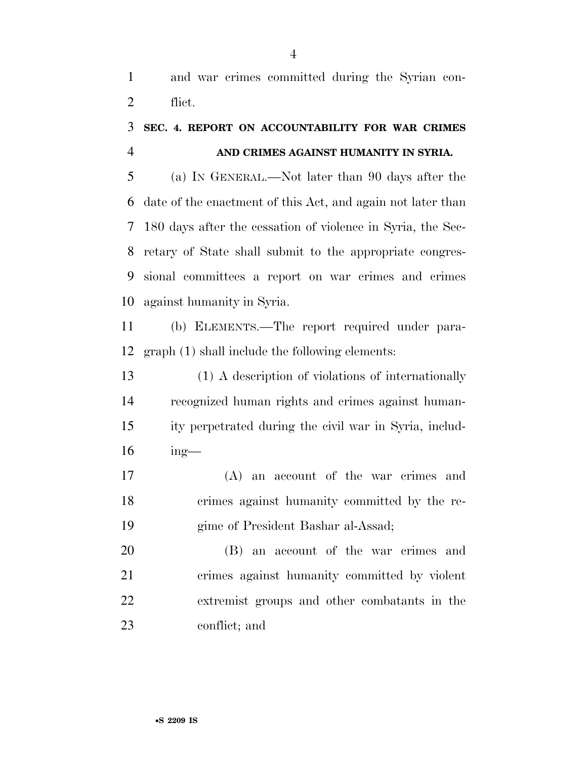and war crimes committed during the Syrian con-flict.

## **SEC. 4. REPORT ON ACCOUNTABILITY FOR WAR CRIMES AND CRIMES AGAINST HUMANITY IN SYRIA.**

 (a) IN GENERAL.—Not later than 90 days after the date of the enactment of this Act, and again not later than 180 days after the cessation of violence in Syria, the Sec- retary of State shall submit to the appropriate congres- sional committees a report on war crimes and crimes against humanity in Syria.

 (b) ELEMENTS.—The report required under para-graph (1) shall include the following elements:

 (1) A description of violations of internationally recognized human rights and crimes against human- ity perpetrated during the civil war in Syria, includ-ing—

 (A) an account of the war crimes and crimes against humanity committed by the re-gime of President Bashar al-Assad;

 (B) an account of the war crimes and crimes against humanity committed by violent extremist groups and other combatants in the conflict; and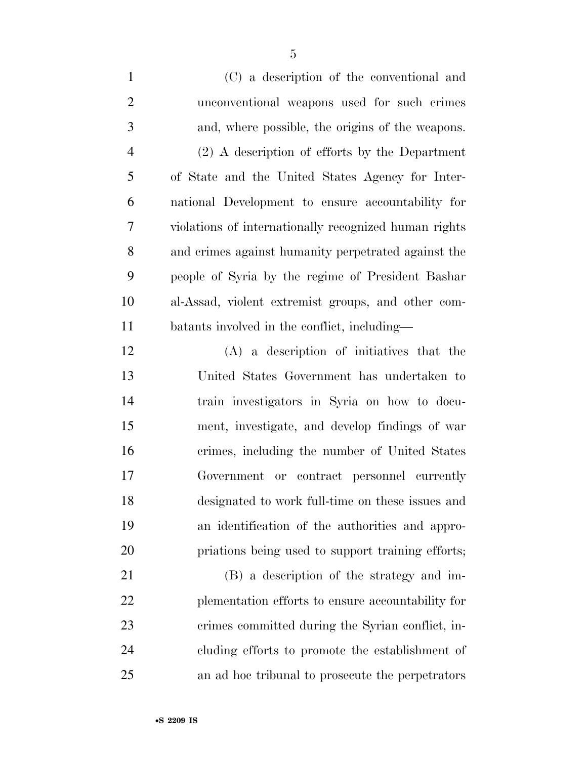| $\mathbf{1}$   | (C) a description of the conventional and             |
|----------------|-------------------------------------------------------|
| $\overline{2}$ | unconventional weapons used for such crimes           |
| 3              | and, where possible, the origins of the weapons.      |
| $\overline{4}$ | $(2)$ A description of efforts by the Department      |
| 5              | of State and the United States Agency for Inter-      |
| 6              | national Development to ensure accountability for     |
| 7              | violations of internationally recognized human rights |
| 8              | and crimes against humanity perpetrated against the   |
| 9              | people of Syria by the regime of President Bashar     |
| 10             | al-Assad, violent extremist groups, and other com-    |
| 11             | batants involved in the conflict, including—          |
| 12             | (A) a description of initiatives that the             |
| 13             | United States Government has undertaken to            |
| 14             | train investigators in Syria on how to docu-          |
| 15             | ment, investigate, and develop findings of war        |
| 16             | crimes, including the number of United States         |
| 17             | Government or contract personnel currently            |
| 18             | designated to work full-time on these issues and      |
| 19             | an identification of the authorities and appro-       |
| 20             | priations being used to support training efforts;     |
| 21             | (B) a description of the strategy and im-             |
| 22             | plementation efforts to ensure accountability for     |
| 23             | crimes committed during the Syrian conflict, in-      |
| 24             | cluding efforts to promote the establishment of       |

an ad hoc tribunal to prosecute the perpetrators